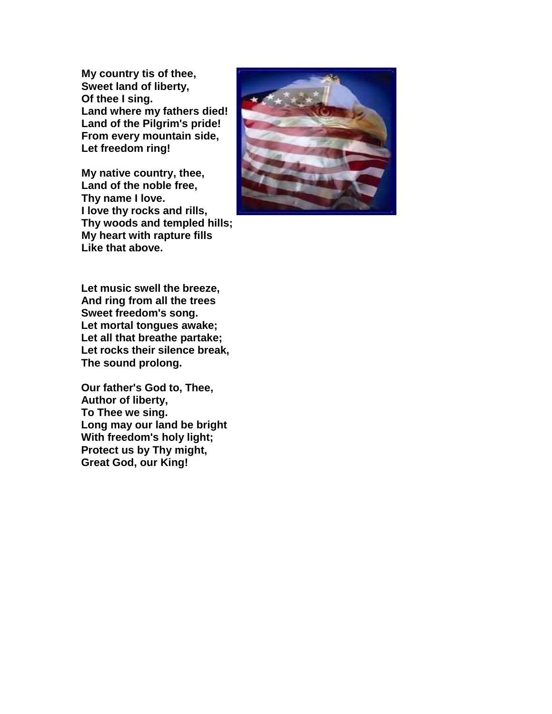**My country tis of thee, Sweet land of liberty, Of thee I sing. Land where my fathers died! Land of the Pilgrim's pride! From every mountain side, Let freedom ring!**

**My native country, thee, Land of the noble free, Thy name I love. I love thy rocks and rills, Thy woods and templed hills; My heart with rapture fills Like that above.**



**Let music swell the breeze, And ring from all the trees Sweet freedom's song. Let mortal tongues awake; Let all that breathe partake; Let rocks their silence break, The sound prolong.**

**Our father's God to, Thee, Author of liberty, To Thee we sing. Long may our land be bright With freedom's holy light; Protect us by Thy might, Great God, our King!**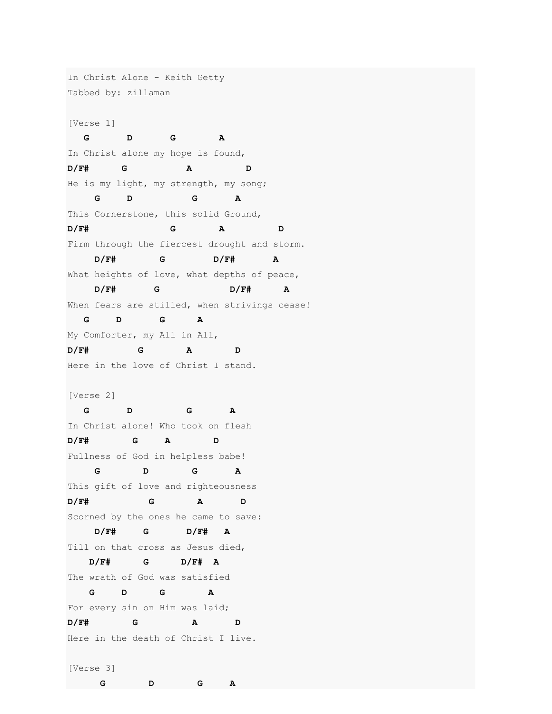In Christ Alone - Keith Getty Tabbed by: zillaman [Verse 1] **G D G A** In Christ alone my hope is found, **D/F# G A D** He is my light, my strength, my song; **G D G A** This Cornerstone, this solid Ground, **D/F# G A D** Firm through the fiercest drought and storm. **D/F# G D/F# A** What heights of love, what depths of peace, **D/F# G D/F# A** When fears are stilled, when strivings cease! **G D G A** My Comforter, my All in All, **D/F# G A D** Here in the love of Christ I stand. [Verse 2] **G D G A** In Christ alone! Who took on flesh **D/F# G A D** Fullness of God in helpless babe! **G D G A** This gift of love and righteousness **D/F# G A D** Scorned by the ones he came to save: **D/F# G D/F# A** Till on that cross as Jesus died, **D/F# G D/F# A** The wrath of God was satisfied **G D G A** For every sin on Him was laid; **D/F# G A D** Here in the death of Christ I live. [Verse 3] **G D G A**